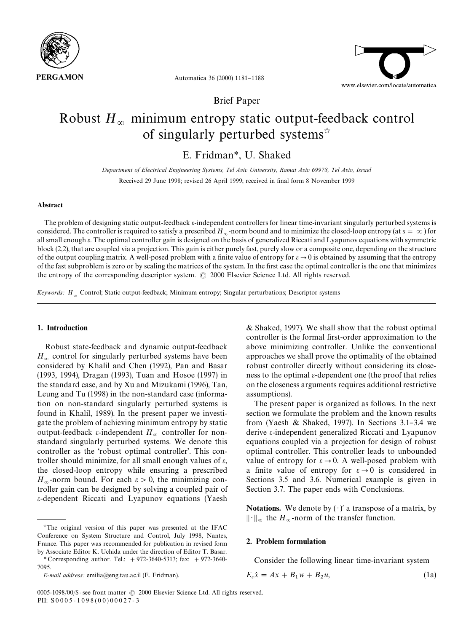

Automatica 36 (2000) 1181-1188

Brief Paper

# Robust  $H_{\infty}$  minimum entropy static output-feedback control of singularly perturbed systems $\dot{x}$

E. Fridman*\**, U. Shaked

*Department of Electrical Engineering Systems, Tel Aviv University, Ramat Aviv 69978, Tel Aviv, Israel* Received 29 June 1998; revised 26 April 1999; received in final form 8 November 1999

#### Abstract

The problem of designing static output-feedback  $\varepsilon$ -independent controllers for linear time-invariant singularly perturbed systems is considered. The controller is required to satisfy a prescribed  $H_{\infty}$ -norm bound and to minimize the closed-loop entropy (at  $s = \infty$ ) for all small enough e. The optimal controller gain is designed on the basis of generalized Riccati and Lyapunov equations with symmetric block (2,2), that are coupled via a projection. This gain is either purely fast, purely slow or a composite one, depending on the structure of the output coupling matrix. A well-posed problem with a finite value of entropy for  $\varepsilon \to 0$  is obtained by assuming that the entropy of the fast subproblem is zero or by scaling the matrices of the system. In the first case the optimal controller is the one that minimizes the entropy of the corresponding descriptor system.  $\odot$  2000 Elsevier Science Ltd. All rights reserved.

*Keywords: <sup>H</sup>*<sup>=</sup> Control; Static output-feedback; Minimum entropy; Singular perturbations; Descriptor systems

## 1. Introduction

Robust state-feedback and dynamic output-feedback  $H_{\infty}$  control for singularly perturbed systems have been considered by Khalil and Chen (1992), Pan and Basar (1993, 1994), Dragan (1993), Tuan and Hosoe (1997) in the standard case, and by Xu and Mizukami (1996), Tan, Leung and Tu (1998) in the non-standard case (information on non-standard singularly perturbed systems is found in Khalil, 1989). In the present paper we investigate the problem of achieving minimum entropy by static output-feedback ε-independent  $H_∞$  controller for nonstandard singularly perturbed systems. We denote this controller as the 'robust optimal controller'. This controller should minimize, for all small enough values of  $\varepsilon$ , the closed-loop entropy while ensuring a prescribed  $H_{\infty}$ -norm bound. For each  $\varepsilon > 0$ , the minimizing controller gain can be designed by solving a coupled pair of e-dependent Riccati and Lyapunov equations (Yaesh & Shaked, 1997). We shall show that the robust optimal controller is the formal first-order approximation to the above minimizing controller. Unlike the conventional approaches we shall prove the optimality of the obtained robust controller directly without considering its closeness to the optimal  $\varepsilon$ -dependent one (the proof that relies on the closeness arguments requires additional restrictive assumptions).

The present paper is organized as follows. In the next section we formulate the problem and the known results from (Yaesh & Shaked, 1997). In Sections  $3.1-3.4$  we derive e-independent generalized Riccati and Lyapunov equations coupled via a projection for design of robust optimal controller. This controller leads to unbounded value of entropy for  $\varepsilon \to 0$ . A well-posed problem with a finite value of entropy for  $\varepsilon \to 0$  is considered in Sections 3.5 and 3.6. Numerical example is given in Section 3.7. The paper ends with Conclusions.

Notations. We denote by  $(\cdot)$  a transpose of a matrix, by  $\|\cdot\|_{\infty}$  the *H*<sub> $\infty$ </sub>-norm of the transfer function.

## 2. Problem formulation

Consider the following linear time-invariant system

$$
E_{\varepsilon}\dot{x} = Ax + B_1w + B_2u,\tag{1a}
$$

 $*$ The original version of this paper was presented at the IFAC Conference on System Structure and Control, July 1998, Nantes, France. This paper was recommended for publication in revised form by Associate Editor K. Uchida under the direction of Editor T. Basar.

*<sup>\*</sup>* Corresponding author. Tel.: #972-3640-5313; fax: #972-3640- 7095.

*E-mail address:* emilia@eng.tau.ac.il (E. Fridman).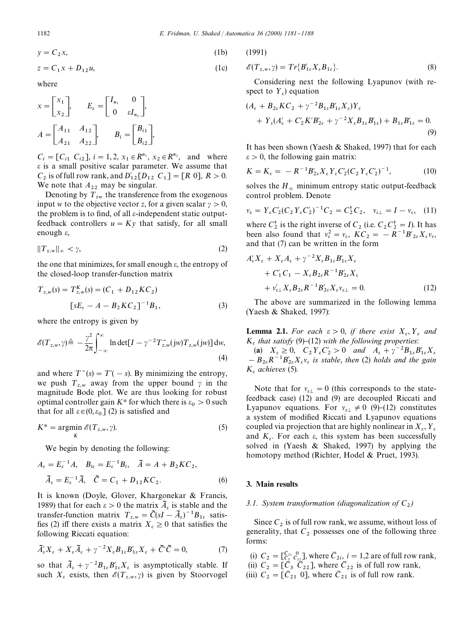(1991)

$$
y = C_2 x,\tag{1b}
$$

$$
z = C_1 x + D_{12} u,\tag{1c}
$$

where

$$
x = \begin{bmatrix} x_1 \\ x_2 \end{bmatrix}, \qquad E_{\varepsilon} = \begin{bmatrix} I_{n_1} & 0 \\ 0 & \varepsilon I_{n_2} \end{bmatrix},
$$

$$
A = \begin{bmatrix} A_{11} & A_{12} \\ A_{21} & A_{22} \end{bmatrix}, \qquad B_{i} = \begin{bmatrix} B_{i1} \\ B_{i2} \end{bmatrix},
$$

 $C_i = [C_{i1} \ C_{i2}], i = 1, 2, x_1 \in R^{n_1}, x_2 \in R^{n_2}, \text{ and where}$  $\varepsilon$  is a small positive scalar parameter. We assume that *C*<sub>2</sub> is of full row rank, and  $D'_{12}[D_{12} C_1] = [R 0], R > 0.$ We note that  $A_{22}$  may be singular.

Denoting by  $T_{zw}$  the transference from the exogenous input *w* to the objective vector *z*, for a given scalar  $\gamma > 0$ , the problem is to find, of all  $\varepsilon$ -independent static outputfeedback controllers  $u = Ky$  that satisfy, for all small enough e,

$$
||T_{z,w}||_{\infty} < \gamma,\tag{2}
$$

the one that minimizes, for small enough  $\varepsilon$ , the entropy of the closed-loop transfer-function matrix

$$
T_{z,w}(s) = T_{z,w}^{K}(s) = (C_1 + D_{12}KC_2)
$$
  

$$
[sE_{\varepsilon} - A - B_2 KC_2]^{-1}B_1,
$$
 (3)

where the entropy is given by

$$
\mathscr{E}(T_{z,w},\gamma) \triangleq -\frac{\gamma^2}{2\pi} \int_{-\infty}^{\infty} \ln \det[I - \gamma^{-2} T_{z,w}^{\sim}(jw) T_{z,w}(jw)] dw,
$$
\n(4)

and where  $T^{\sim}(s) = T'(-s)$ . By minimizing the entropy, we push  $T_{z,w}$  away from the upper bound  $\gamma$  in the magnitude Bode plot. We are thus looking for robust optimal controller gain  $K^*$  for which there is  $\varepsilon_0 > 0$  such that for all  $\varepsilon \in (0, \varepsilon_0]$  (2) is satisfied and

$$
K^* = \underset{K}{\text{argmin}} \ \mathscr{E}(T_{z,w}, \gamma). \tag{5}
$$

We begin by denoting the following:

$$
A_{\varepsilon} = E_{\varepsilon}^{-1} A, \quad B_{i\varepsilon} = E_{\varepsilon}^{-1} B_{i}, \quad \tilde{A} = A + B_{2} K C_{2},
$$

$$
\tilde{A}_{\varepsilon} = E_{\varepsilon}^{-1} \tilde{A}, \quad \tilde{C} = C_{1} + D_{12} K C_{2}.
$$
(6)

It is known (Doyle, Glover, Khargonekar & Francis, 1989) that for each  $\varepsilon > 0$  the matrix  $\overline{A}_{\varepsilon}$  is stable and the transfer-function matrix  $T_{z,w} = \tilde{C}(sI - \tilde{A}_s)^{-1}B_{1s}$  satis-<br>fee (2) iff there exists a matrix  $Y > 0$  that satisfies the transier-tunction matrix  $Y_{z,w} = C(sY - A_{\epsilon}) - D_{1\epsilon}$  satisfies (2) iff there exists a matrix  $X_{\epsilon} \ge 0$  that satisfies the following Riccati equation:

$$
\tilde{A}_{\varepsilon}^{\prime} X_{\varepsilon} + X_{\varepsilon} \tilde{A}_{\varepsilon} + \gamma^{-2} X_{\varepsilon} B_{1\varepsilon} B_{1\varepsilon}^{\prime} X_{\varepsilon} + \tilde{C}^{\prime} \tilde{C} = 0, \tag{7}
$$

so that  $\tilde{A}_{\varepsilon} + \gamma^{-2} B_{1\varepsilon} B'_{1\varepsilon} X_{\varepsilon}$  is asymptotically stable. If so that  $A_{\varepsilon} + \gamma - D_{1\varepsilon} D_{1\varepsilon} A_{\varepsilon}$  is asymptotically stable. If<br>such  $X_{\varepsilon}$  exists, then  $\mathscr{E}(T_{z,w}, \gamma)$  is given by Stoorvogel

$$
\mathscr{E}(T_{z,w},\gamma) = Tr\{B'_{1\epsilon}X_{\epsilon}B_{1\epsilon}\}.
$$
\n(8)

Considering next the following Lyapunov (with respect to  $Y_{\varepsilon}$ ) equation

$$
(A_{\varepsilon} + B_{2\varepsilon}KC_2 + \gamma^{-2}B_{1\varepsilon}B'_{1\varepsilon}X_{\varepsilon})Y_{\varepsilon}+ Y_{\varepsilon}(A'_{\varepsilon} + C'_2K'B'_{2\varepsilon} + \gamma^{-2}X_{\varepsilon}B_{1\varepsilon}B'_{1\varepsilon}) + B_{1\varepsilon}B'_{1\varepsilon} = 0.
$$
\n(9)

It has been shown (Yaesh & Shaked, 1997) that for each  $\epsilon > 0$ , the following gain matrix:

$$
K = K_{\varepsilon} = -R^{-1}B'_{2\varepsilon}X_{\varepsilon}Y_{\varepsilon}C'_{2}(C_{2}Y_{\varepsilon}C'_{2})^{-1},
$$
 (10)

solves the  $H_{\infty}$  minimum entropy static output-feedback control problem. Denote

$$
v_{\varepsilon} = Y_{\varepsilon} C_2 (C_2 Y_{\varepsilon} C_2')^{-1} C_2 = C_2^{\dagger} C_2, \quad v_{\varepsilon \perp} = I - v_{\varepsilon}, \quad (11)
$$

where  $C_2^{\dagger}$  is the right inverse of  $C_2$  (i.e.  $C_2 C_2^{\dagger} = I$ ). It has been also found that  $v_{\varepsilon}^2 = v_{\varepsilon}$ ,  $KC_2 = -R^{-1}B'_{2\varepsilon}X_{\varepsilon}v_{\varepsilon}$ , been also found that  $v_{\varepsilon} = v_{\varepsilon}$ ,  $Kv_{2} =$ <br>and that (7) can be written in the form

$$
A'_{\varepsilon} X_{\varepsilon} + X_{\varepsilon} A_{\varepsilon} + \gamma^{-2} X_{\varepsilon} B_{1\varepsilon} B'_{1\varepsilon} X_{\varepsilon} + C'_{1} C_{1} - X_{\varepsilon} B_{2\varepsilon} R^{-1} B'_{2\varepsilon} X_{\varepsilon} + \nu'_{\varepsilon \perp} X_{\varepsilon} B_{2\varepsilon} R^{-1} B'_{2\varepsilon} X_{\varepsilon} \nu_{\varepsilon \perp} = 0.
$$
 (12)

The above are summarized in the following lemma (Yaesh & Shaked, 1997):

**Lemma 2.1.** *For each*  $\varepsilon > 0$ , *if there exist*  $X_{\varepsilon}, Y_{\varepsilon}$  and  $K_{\varepsilon}$  that exist  $(0)$  (12) with the following momentum  $K_{\varepsilon}$  *that satisfy* (9)–(12) *with the following properties*:

(a)  $X_{\varepsilon} \geq 0$ ,  $C_2 Y_{\varepsilon} C_2' > 0$  and  $A_{\varepsilon} + \gamma^{-2} B_{1\varepsilon} B_{1\varepsilon}' K_1$ (a)  $X_{\varepsilon} \geq 0$ ,  $C_2 T_{\varepsilon} C_2 > 0$  and  $A_{\varepsilon} + \gamma D_{1\varepsilon} D_{1\varepsilon} X_{\varepsilon}$ <br>  $-B_{2\varepsilon} R^{-1} B'_{2\varepsilon} X_{\varepsilon} v_{\varepsilon}$  is stable, then (2) holds and the gain *<sup>K</sup>*<sup>e</sup> *achieves* (5).

Note that for  $v_{\varepsilon\perp} = 0$  (this corresponds to the statefeedback case) (12) and (9) are decoupled Riccati and Lyapunov equations. For  $v_{\varepsilon\perp} \neq 0$  (9)–(12) constitutes a system of modified Riccati and Lyapunov equations coupled via projection that are highly nonlinear in  $X_{\varepsilon}$ ,  $Y_{\varepsilon}$ coupled via projection that are highly nonlinear in  $X_{\varepsilon}$ ,  $Y_{\varepsilon}$ <br>and  $K_{\varepsilon}$ . For each  $\varepsilon$ , this system has been successfully<br>seeking in (Negels  $\mathcal{E}_{\varepsilon}$  Shelted 1997) by equalities the solved in (Yaesh & Shaked, 1997) by applying the homotopy method (Richter, Hodel & Pruet, 1993).

#### 3. Main results

# *3.1. System transformation (diagonalization of <sup>C</sup>*<sup>2</sup> *)*

Since  $C_2$  is of full row rank, we assume, without loss of generality, that  $C_2$  possesses one of the following three forms:

(i)  $C_2 = [\bar{C}_{21}^{\bar{C}_{21}} \bar{C}_{22}^{\bar{C}_{21}}]$ , where  $\bar{C}_{2i}$ ,  $i = 1,2$  are of full row rank, M (ii)  $C_2 = [\bar{C}_3 \ \bar{C}_{22}]$ , where  $\bar{C}_{22}$  is of full row rank, M M (iii)  $C_2 = [\overline{C}_{21} \ 0]$ , where  $\overline{C}_{21}$  is of full row rank.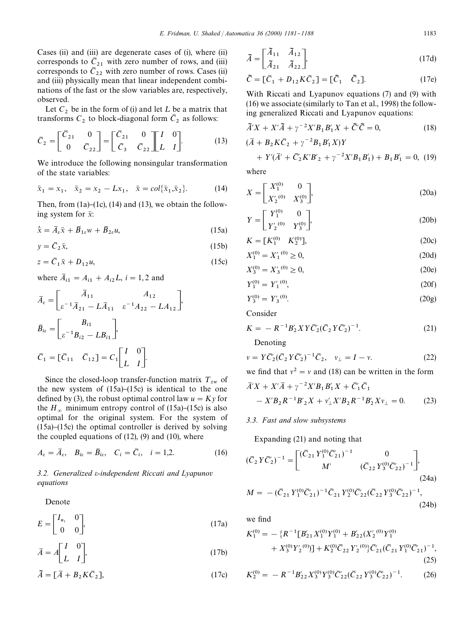Cases (ii) and (iii) are degenerate cases of (i), where (ii) corresponds to  $\overline{C}_{21}$  with zero number of rows, and (iii) corresponds to  $\bar{C}_{22}$  with zero number of rows. Cases (ii) and (iii) physically mean that linear independent combinations of the fast or the slow variables are, respectively, observed.

Let  $C_2$  be in the form of (i) and let  $L$  be a matrix that transforms  $C_2$  to block-diagonal form  $\overline{C}_2$  as follows:

$$
\overline{C}_2 = \begin{bmatrix} \overline{C}_{21} & 0 \\ 0 & \overline{C}_{22} \end{bmatrix} = \begin{bmatrix} \overline{C}_{21} & 0 \\ \overline{C}_3 & \overline{C}_{22} \end{bmatrix} \begin{bmatrix} I & 0 \\ L & I \end{bmatrix} . \tag{13}
$$

We introduce the following nonsingular transformation of the state variables:

$$
\bar{x}_1 = x_1, \quad \bar{x}_2 = x_2 - Lx_1, \quad \bar{x} = col{\{\bar{x}_1, \bar{x}_2\}}.
$$
 (14)

Then, from  $(1a)$ – $(1c)$ ,  $(14)$  and  $(13)$ , we obtain the following system for  $\bar{x}$ :

 $\dot{\bar{x}} = \bar{A}_{\varepsilon} \bar{x} + \bar{B}_{1\varepsilon} w + \bar{B}_{2\varepsilon}$  $(15a)$ 

$$
y = \overline{C}_2 \overline{x}, \tag{15b}
$$

$$
z = \overline{C}_1 \overline{x} + D_{12} u,\tag{15c}
$$

where  $\bar{A}_{i1} = A_{i1} + A_{i2}L$ ,  $i = 1, 2$  and

$$
\bar{A}_{\varepsilon} = \begin{bmatrix} \bar{A}_{11} & A_{12} \\ \varepsilon^{-1} \bar{A}_{21} - L \bar{A}_{11} & \varepsilon^{-1} A_{22} - L A_{12} \end{bmatrix},
$$
\n
$$
\bar{B}_{i\varepsilon} = \begin{bmatrix} B_{i1} \\ \varepsilon^{-1} B_{i2} - L B_{i1} \end{bmatrix},
$$
\n
$$
\bar{C}_{1} = [\bar{C}_{11} \quad \bar{C}_{12}] = C_{1} \begin{bmatrix} I & 0 \\ L & I \end{bmatrix}.
$$

Since the closed-loop transfer-function matrix  $T_{zw}$  of the new system of  $(15a)$ – $(15c)$  is identical to the one defined by (3), the robust optimal control law  $u = Ky$  for the  $H_{\infty}$  minimum entropy control of (15a)–(15c) is also optimal for the original system. For the system of  $(15a)$ – $(15c)$  the optimal controller is derived by solving the coupled equations of  $(12)$ ,  $(9)$  and  $(10)$ , where

$$
A_{\varepsilon} = \bar{A}_{\varepsilon}, \quad B_{i\varepsilon} = \bar{B}_{i\varepsilon}, \quad C_{i} = \bar{C}_{i}, \quad i = 1, 2. \tag{16}
$$

*3.2. Generalized* e*-independent Riccati and Lyapunov equations*

Denote

$$
E = \begin{bmatrix} I_{n_1} & 0 \\ 0 & 0 \end{bmatrix},\tag{17a}
$$

$$
\bar{A} = A \begin{bmatrix} I & 0 \\ L & I \end{bmatrix}, \tag{17b}
$$

$$
\tilde{A} = [\bar{A} + B_2 K \bar{C}_2],\tag{17c}
$$

$$
\tilde{A} = \begin{bmatrix} \tilde{A}_{11} & \tilde{A}_{12} \\ \tilde{A}_{21} & \tilde{A}_{22} \end{bmatrix},
$$
\n(17d)

$$
\tilde{C} = [\bar{C}_1 + D_{12} K \bar{C}_2] = [\tilde{C}_1 \quad \tilde{C}_2]. \tag{17e}
$$

With Riccati and Lyapunov equations (7) and (9) with (16) we associate (similarly to Tan et al., 1998) the following generalized Riccati and Lyapunov equations:

$$
\tilde{A}'X + X'\tilde{A} + \gamma^{-2}X'B_1B'_1X + \tilde{C}'\tilde{C} = 0,
$$
\n(18)  
\n
$$
(\bar{A} + B_2K\bar{C}_2 + \gamma^{-2}B_1B'_1X)Y
$$
\n
$$
+ Y'(\bar{A}' + \bar{C}'_2K'B'_2 + \gamma^{-2}X'B_1B'_1) + B_1B'_1 = 0,
$$
\n(19)  
\nwhere

where

$$
X = \begin{bmatrix} X_1^{(0)} & 0\\ X_2^{(0)} & X_3^{(0)} \end{bmatrix},
$$
 (20a)

$$
Y = \begin{bmatrix} Y_1^{(0)} & 0 \\ Y_2'^{(0)} & Y_3^{(0)} \end{bmatrix},\tag{20b}
$$

$$
K = [K_1^{(0)} \quad K_2^{(0)}],\tag{20c}
$$

$$
X_1^{(0)} = X_1^{(0)} \ge 0,
$$
\n(20d)

$$
X_3^{(0)} = X_3^{(0)} \ge 0,
$$
\n(20e)

$$
Y_1^{(0)} = Y_1^{(0)}, \tag{20f}
$$

$$
Y_3^{(0)} = Y_3^{(0)}.
$$
 (20g)

Consider

$$
K = -R^{-1}B_2'XY\overline{C}_2'(\overline{C}_2'Y\overline{C}_2')^{-1}.
$$
 (21)

Denoting

$$
v = Y\overline{C}_2'(\overline{C}_2 Y \overline{C}_2')^{-1} \overline{C}_2, \quad v_{\perp} = I - v.
$$
 (22)

we find that 
$$
v^2 = v
$$
 and (18) can be written in the form

$$
\bar{A}'X + X'\bar{A} + \gamma^{-2}X'B_1B'_1X + \bar{C}'_1\bar{C}_1
$$
  
- X'B\_2R<sup>-1</sup>B'\_2X + v'\_1X'B\_2R<sup>-1</sup>B'\_2Xv\_1 = 0. (23)

# *3.3. Fast and slow subsystems*

Expanding (21) and noting that

$$
(\bar{C}_2 Y \bar{C}'_2)^{-1} = \begin{bmatrix} (\bar{C}_{21} Y_1^{(0)} \bar{C}'_{21})^{-1} & 0 \\ M' & (\bar{C}_{22} Y_3^{(0)} \bar{C}'_{22})^{-1} \end{bmatrix},
$$
  
\n
$$
M = -(\bar{C}_{21} Y_1^{(0)} \bar{C}'_{21})^{-1} \bar{C}_{21} Y_2^{(0)} \bar{C}'_{22} (\bar{C}_{22} Y_3^{(0)} \bar{C}'_{22})^{-1},
$$
\n(24a)

we find

$$
K_1^{(0)} = -\{R^{-1}[B'_{21}X_1^{(0)}Y_1^{(0)} + B'_{22}(X'_2^{(0)}Y_1^{(0)} + X_3^{(0)}Y'_2^{(0)})] + K_2^{(0)}\bar{C}_{22}Y'_2^{(0)}\}\bar{C}'_{21}(\bar{C}_{21}Y_1^{(0)}\bar{C}'_{21})^{-1},
$$
\n(25)

$$
K_2^{(0)} = -R^{-1}B'_{22}X_3^{(0)}Y_3^{(0)}\bar{C}'_{22}(\bar{C}_{22}Y_3^{(0)}\bar{C}'_{22})^{-1}.
$$
 (26)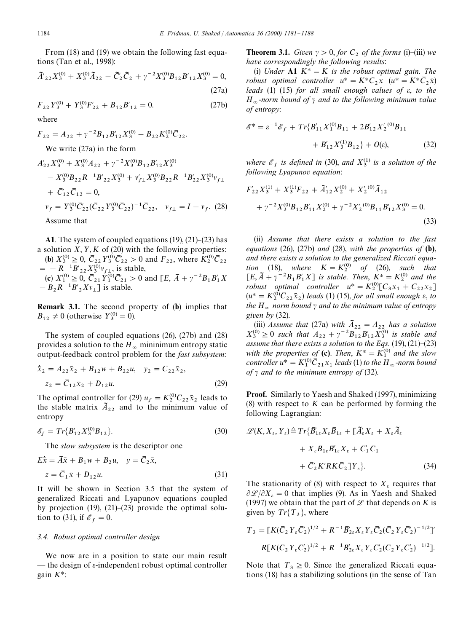From (18) and (19) we obtain the following fast equations (Tan et al., 1998):

$$
\tilde{A'}_{22}X_3^{(0)} + X_3^{(0)}\tilde{A}_{22} + \tilde{C}_2'\tilde{C}_2 + \gamma^{-2}X_3^{(0)}B_{12}B'_{12}X_3^{(0)} = 0,
$$
\n(27a)

$$
F_{22}Y_3^{(0)} + Y_3^{(0)}F'_{22} + B_{12}B'_{12} = 0.
$$
 (27b)

where

$$
F_{22} = A_{22} + \gamma^{-2} B_{12} B'_{12} X_3^{(0)} + B_{22} K_2^{(0)} \overline{C}_{22}.
$$
  
We write (27a) in the form  

$$
A'_{22} X_3^{(0)} + X_3^{(0)} A_{22} + \gamma^{-2} X_3^{(0)} B_{12} B'_{12} X_3^{(0)}
$$

$$
- X_3^{(0)} B_{22} R^{-1} B'_{22} X_3^{(0)} + v'_{f\perp} X_3^{(0)} B_{22} R^{-1} B'_{22} X_3^{(0)} v_{f\perp}
$$

$$
+ \overline{C}'_{12} \overline{C}_{12} = 0,
$$

$$
v_f = Y_3^{(0)} \overline{C}'_{22} (\overline{C}_{22} Y_3^{(0)} \overline{C}'_{22})^{-1} \overline{C}_{22}, \quad v_{f\perp} = I - v_f. \tag{28}
$$

Assume that

A1. The system of coupled equations  $(19)$ ,  $(21)$ – $(23)$  has a solution  $X, Y, K$  of (20) with the following properties: (**b**)  $X_3^{(0)} \ge 0$ ,  $\overline{C}_{22} Y_3^{(0)} \overline{C}_{22} > 0$  and  $F_{22}$ , where  $K_2^{(0)} \overline{C}_{22}$ (a)  $X_3 \ge 0$ ,  $C_{22}I_3 \ge 2$  is stable,<br>  $= -R^{-1}B'_{22}X_3^{(0)}v_{f\perp}$ , is stable,<br>  $\therefore X_{10}^{(0)} > 0$ ,  $\overline{S} = X_{10}^{(0)}\overline{S'}$ ,  $\therefore$  0,  $\frac{1}{2}E^{-1} = 2R_1N_1N_2$ (c)  $X_1^{(0)} \ge 0$ ,  $\overline{C}_{21} \overline{Y}_1^{(0)} \overline{C}_{21}' > 0$  and  $[E, \overline{A} + \gamma^{-2}B_1B_1'X_1']$  $-B_2 R^{-1} B_2' X v_{\perp}$  is stable.

Remark 3.1. The second property of (b) implies that  $B_{12} \neq 0$  (otherwise  $Y_3^{(0)} = 0$ ).

The system of coupled equations (26), (27b) and (28) provides a solution to the  $H_{\infty}$  mininimum entropy static output-feedback control problem for the *fast subsystem*:

$$
\begin{aligned} \dot{\bar{x}}_2 &= A_{22}\bar{x}_2 + B_{12}w + B_{22}u, \quad y_2 = \bar{C}_{22}\bar{x}_2, \\ z_2 &= \bar{C}_{12}\bar{x}_2 + D_{12}u. \end{aligned} \tag{29}
$$

The optimal controller for (29)  $u_f = K_2^{(0)}\overline{C}_{22}\overline{x}_2$  leads to the stable matrix  $A_{22}$  and to the minimum value of entropy

$$
\mathscr{E}_f = Tr\{B'_{12}X_3^{(0)}B_{12}\}.
$$
\n(30)

The *slow subsystem* is the descriptor one

$$
E\dot{\overline{x}} = \overline{A}\overline{x} + B_1 w + B_2 u, \quad y = \overline{C}_2 \overline{x},
$$
  

$$
z = \overline{C}_1 \overline{x} + D_{12} u.
$$
 (31)

It will be shown in Section 3.5 that the system of generalized Riccati and Lyapunov equations coupled by projection  $(19)$ ,  $(21)$ – $(23)$  provide the optimal solution to (31), if  $\mathscr{E}_f = 0$ .

#### *3.4. Robust optimal controller design*

We now are in a position to state our main result  $-$  the design of  $\varepsilon$ -independent robust optimal controller gain  $K^*$ :

**Theorem 3.1.** *Given*  $\gamma > 0$ *, for*  $C_2$  *of the forms* (i)–(iii) *we have correspondingly the following results*:

(i) *Under* **A1**  $K^* = K$  *is the robust optimal gain. The robust optimal controller*  $u^* = K^*C_2x$   $(u^* = K^*\overline{C}_2\overline{x})$ *leads* (1) (15) *for all small enough values of* e, *to the*  $H_{\infty}$ -norm bound of  $\gamma$  *and to the following minimum value of entropy*:

$$
\mathcal{E}^* = \varepsilon^{-1} \mathcal{E}_f + Tr\{B'_{11} X_1^{(0)} B_{11} + 2B'_{12} X_2^{(0)} B_{11} + B'_{12} X_3^{(1)} B_{12}\} + O(\varepsilon),
$$
 (32)

*where*  $\mathcal{E}_f$  *is defined in* (30), *and*  $X_3^{(1)}$  *is a solution of the following Lyapunov equation*:

$$
F'_{22}X_3^{(1)} + X_3^{(1)}F_{22} + \tilde{A}'_{12}X_2^{(0)} + X'_2^{(0)}\tilde{A}_{12}
$$
  
+  $\gamma^{-2}X_3^{(0)}B_{12}B'_{11}X_2^{(0)} + \gamma^{-2}X'_2^{(0)}B_{11}B'_{12}X_3^{(0)} = 0.$  (33)

(ii) *Assume that there exists a solution to the fast equations* (26), (27b) *and* (28), *with the properties of* (b), *and there exists a solution to the generalized Riccati equation* (18), *where*  $K = K_2^{(0)}$  *of* (26), *such that*  $[E, \bar{A} + \gamma^{-2}B_1B_1'X]$  *is stable. Then,*  $K^* = K_2^{(0)}$  *and the robust optimal controller*  $u^* = K_2^{(0)}[\bar{C}_3 x_1 + \bar{C}_2 x_2]$  $(u^* = K_2^{(0)}\overline{C}_{22}\overline{x}_2)$  *leads* (1) (15), *for all small enough*  $\varepsilon$ , *to the*  $H_{\infty}$  *norm bound*  $\gamma$  *and to the minimum value of entropy given by* (32).

(iii) *Assume that* (27a) *with*  $\tilde{A}_{22} = A_{22}$  *has a solution*  $X_3^{(0)} \ge 0$  *such that*  $A_{22} + \gamma^{-2}B_{12}B'_{12}X_3^{(0)}$  *is stable and assume that there exists a solution to the Eqs.*  $(19)$ ,  $(21)$ – $(23)$ *with the properties of* (c). *Then*,  $K^* = K_1^{(0)}$  *and the slow controller*  $u^* = K_1^{(0)} \overline{C}_{21} x_1$  *leads* (1) *to the*  $H_{\infty}$ -*norm bound of*  $\gamma$  *and to the minimum entropy of* (32).

Proof. Similarly to Yaesh and Shaked (1997), minimizing (8) with respect to *K* can be performed by forming the following Lagrangian:

$$
\mathcal{L}(K, X_{\varepsilon}, Y_{\varepsilon}) \triangleq Tr\{\bar{B}_{1\varepsilon}' X_{\varepsilon} \bar{B}_{1\varepsilon} + [\tilde{A}_{\varepsilon}' X_{\varepsilon} + X_{\varepsilon} \tilde{A}_{\varepsilon}\n+ X_{\varepsilon} \bar{B}_{1\varepsilon} \bar{B}_{1\varepsilon}' X_{\varepsilon} + \bar{C}_{1}' \bar{C}_{1}\n+ \bar{C}_{2}' K' R K \bar{C}_{2}] Y_{\varepsilon} \}.
$$
\n(34)

The stationarity of (8) with respect to  $X_{\varepsilon}$  requires that  $\partial \mathcal{L}/\partial X_{\epsilon} = 0$  that implies (9). As in Yaesh and Shaked (1997) we obtain that the part of  $L$  that depends on *K* is given by  $Tr{T_3}$ , where

$$
T_3 = [K(\bar{C}_2 Y_\varepsilon \bar{C}_2')^{1/2} + R^{-1} \bar{B}_{2\varepsilon}' X_\varepsilon Y_\varepsilon \bar{C}_2' (\bar{C}_2 Y_\varepsilon \bar{C}_2')^{-1/2}]'
$$
  

$$
R[K(\bar{C}_2 Y_\varepsilon \bar{C}_2')^{1/2} + R^{-1} \bar{B}_{2\varepsilon}' X_\varepsilon Y_\varepsilon \bar{C}_2' (\bar{C}_2 Y_\varepsilon \bar{C}_2')^{-1/2}].
$$

Note that  $T_3 \ge 0$ . Since the generalized Riccati equations (18) has a stabilizing solutions (in the sense of Tan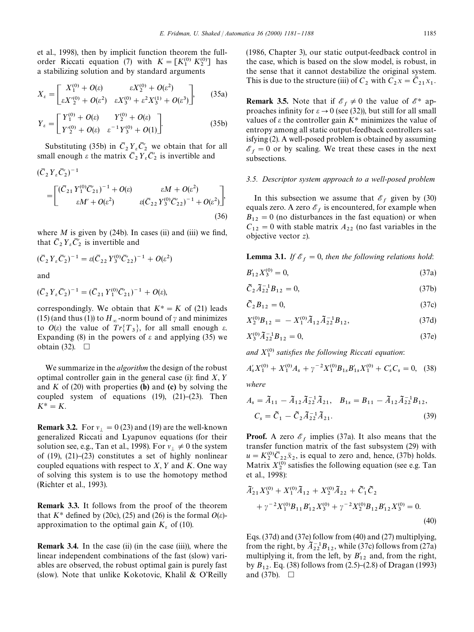et al., 1998), then by implicit function theorem the fullorder Riccati equation (7) with  $K = [K_1^{(0)} K_2^{(0)}]$  has a stabilizing solution and by standard arguments

$$
X_{\varepsilon} = \begin{bmatrix} X_1^{(0)} + O(\varepsilon) & \varepsilon X_2^{(0)} + O(\varepsilon^2) \\ \varepsilon X_2^{(0)} + O(\varepsilon^2) & \varepsilon X_3^{(0)} + \varepsilon^2 X_3^{(1)} + O(\varepsilon^3) \end{bmatrix},
$$
 (35a)

$$
Y_{\varepsilon} = \begin{bmatrix} Y_1^{(0)} + O(\varepsilon) & Y_2^{(0)} + O(\varepsilon) \\ Y_2^{(0)} + O(\varepsilon) & \varepsilon^{-1} Y_3^{(0)} + O(1) \end{bmatrix}.
$$
 (35b)

Substituting (35b) in  $\overline{C}_2 Y_{\epsilon} \overline{C}'_2$  we obtain that for all Substituting (550) in  $C_2 T_{\epsilon} C_2$  we obtain that for<br>small enough  $\epsilon$  the matrix  $\overline{C}_2 Y_{\epsilon} \overline{C}'_2$  is invertible and

$$
(\bar{C}_2 Y_{\varepsilon} \bar{C}'_2)^{-1}
$$
\n
$$
= \begin{bmatrix}\n(\bar{C}_{21} Y_1^{(0)} \bar{C}'_{21})^{-1} + O(\varepsilon) & \varepsilon M + O(\varepsilon^2) \\
\varepsilon M' + O(\varepsilon^2) & \varepsilon (\bar{C}_{22} Y_3^{(0)} \bar{C}'_{22})^{-1} + O(\varepsilon^2)\n\end{bmatrix} (36)
$$

where  $M$  is given by (24b). In cases (ii) and (iii) we find, that  $\overline{C}_2 Y_{\varepsilon} \overline{C}'_2$  is invertible and

and

$$
(\bar{C}_2 Y_{\varepsilon} \bar{C}'_2)^{-1} = (\bar{C}_{21} Y_1^{(0)} \bar{C}'_{21})^{-1} + O(\varepsilon),
$$

 $(\bar{C}_2 Y_{\varepsilon} \bar{C}'_2)^{-1} = \varepsilon (\bar{C}_{22} Y_3^{(0)} \bar{C}'_{22})^{-1} + O(\varepsilon^2)$ 

correspondingly. We obtain that  $K^* = K$  of (21) leads (15) (and thus (1)) to  $H_{\infty}$ -norm bound of  $\gamma$  and minimizes to  $O(\varepsilon)$  the value of  $Tr{T_3}$ , for all small enough  $\varepsilon$ . Expanding (8) in the powers of  $\varepsilon$  and applying (35) we obtain (32).  $\Box$ 

We summarize in the *algorithm* the design of the robust optimal controller gain in the general case (i): find  $X, Y$ and  $K$  of (20) with properties (b) and (c) by solving the coupled system of equations  $(19)$ ,  $(21)-(23)$ . Then  $K^* = K$ .

**Remark 3.2.** For  $v_{\perp} = 0$  (23) and (19) are the well-known generalized Riccati and Lyapunov equations (for their solution see, e.g., Tan et al., 1998). For  $v_{\perp} \neq 0$  the system of  $(19)$ ,  $(21)$ – $(23)$  constitutes a set of highly nonlinear coupled equations with respect to  $X$ ,  $Y$  and  $K$ . One way of solving this system is to use the homotopy method (Richter et al., 1993).

Remark 3.3. It follows from the proof of the theorem that  $K^*$  defined by (20c), (25) and (26) is the formal  $O(\varepsilon)$ approximation to the optimal gain  $K<sub>s</sub>$  of (10).

Remark 3.4. In the case (ii) (in the case (iii)), where the linear independent combinations of the fast (slow) variables are observed, the robust optimal gain is purely fast (slow). Note that unlike Kokotovic, Khalil & O'Reilly (1986, Chapter 3), our static output-feedback control in the case, which is based on the slow model, is robust, in the sense that it cannot destabilize the original system. This is due to the structure (iii) of  $C_2$  with  $C_2 x = \overline{C}_{21} x_1$ .

**Remark 3.5.** Note that if  $\mathcal{E}_f \neq 0$  the value of  $\mathcal{E}^*$  approaches infinity for  $\varepsilon \to 0$  (see (32)), but still for all small values of  $\varepsilon$  the controller gain  $K^*$  minimizes the value of entropy among all static output-feedback controllers satisfying (2). A well-posed problem is obtained by assuming  $\mathscr{E}_f = 0$  or by scaling. We treat these cases in the next subsections.

#### *3.5. Descriptor system approach to a well-posed problem*

In this subsection we assume that  $\mathscr{E}_f$  given by (30) equals zero. A zero  $\mathscr{E}_f$  is encountered, for example when  $B_{12} = 0$  (no disturbances in the fast equation) or when  $C_{12} = 0$  with stable matrix  $A_{22}$  (no fast variables in the objective vector *z*).

**Lemma 3.1.** *If*  $\mathcal{E}_f = 0$ , *then the following relations hold*:

$$
B'_{12}X_3^{(0)} = 0,\t\t(37a)
$$

$$
\tilde{C}_2 \tilde{A}_{22}^{-1} B_{12} = 0, \tag{37b}
$$

$$
\tilde{C}_2 B_{12} = 0,\t\t(37c)
$$

$$
X_2^{(0)}B_{12} = -X_1^{(0)}\tilde{A}_{12}\tilde{A}_{22}^{-1}B_{12},\tag{37d}
$$

$$
X_3^{(0)} \tilde{A}_{22}^{-1} B_{12} = 0, \tag{37e}
$$

and  $X_1^{(0)}$  satisfies the following Riccati equation:

$$
A'_{s}X_{1}^{(0)} + X_{1}^{(0)}A_{s} + \gamma^{-2}X_{1}^{(0)}B_{1s}B'_{1s}X_{1}^{(0)} + C'_{s}C_{s} = 0, \quad (38)
$$

*where*

$$
A_s = \tilde{A}_{11} - \tilde{A}_{12}\tilde{A}_{22}^{-1}\tilde{A}_{21}, \quad B_{1s} = B_{11} - \tilde{A}_{12}\tilde{A}_{22}^{-1}B_{12},
$$

$$
C_s = \tilde{C}_1 - \tilde{C}_2\tilde{A}_{22}^{-1}\tilde{A}_{21}.
$$
(39)

**Proof.** A zero  $\mathcal{E}_f$  implies (37a). It also means that the transfer function matrix of the fast subsystem (29) with  $u = K_2^{(0)} \overline{C}_{22} \overline{x}_2$ , is equal to zero and, hence, (37b) holds. Matrix  $X_2^{(0)}$  satisfies the following equation (see e.g. Tan et al., 1998):

$$
\tilde{A}'_{21}X_3^{(0)} + X_1^{(0)}\tilde{A}_{12} + X_2^{(0)}\tilde{A}_{22} + \tilde{C}_1'\tilde{C}_2 \n+ \gamma^{-2}X_1^{(0)}B_{11}B_{12}'X_3^{(0)} + \gamma^{-2}X_2^{(0)}B_{12}B_{12}'X_3^{(0)} = 0.
$$
\n(40)

Eqs. (37d) and (37e) follow from (40) and (27) multiplying, from the right, by  $\bar{A}_{22}^{-1}B_{12}$ , while (37c) follows from (27a) multiplying it, from the left, by  $B'_{12}$  and, from the right, by  $B_{12}$ . Eq. (38) follows from (2.5)–(2.8) of Dragan (1993) and (37b).  $\Box$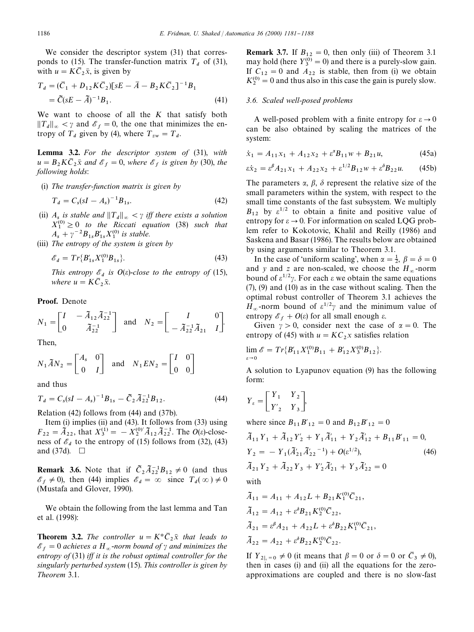We consider the descriptor system (31) that corresponds to (15). The transfer-function matrix  $T_d$  of (31), with  $u = K\overline{C}_2 \overline{x}$ , is given by

$$
T_d = (\bar{C}_1 + D_{12} K \bar{C}_2) [sE - \bar{A} - B_2 K \bar{C}_2]^{-1} B_1
$$
  
=  $\tilde{C} (sE - \tilde{A})^{-1} B_1.$  (41)

We want to choose of all the *K* that satisfy both  $||T_d||_{\infty} < \gamma$  and  $\mathscr{E}_f = 0$ , the one that minimizes the entropy of  $T_d$  given by (4), where  $T_{zw} = T_d$ .

Lemma 3.2. *For the descriptor system of* (31), *with*  $u = B_2 K \overline{C}_2 \overline{x}$  *and*  $\mathscr{E}_f = 0$ , *where*  $\mathscr{E}_f$  *is given by* (30), *the following holds*:

(i) *The transfer-function matrix is given by*

$$
T_d = C_s (sI - A_s)^{-1} B_{1s}.
$$
 (42)

- (ii)  $A_s$  *is stable and*  $||T_d||_{\infty} < \gamma$  *iff there exists a solution*  $X_1^{(0)} \geq 0$  *to the Riccati equation* (38) *such that*  $A_s + \gamma^{-2} B_{1s} B'_{1s} X_1^{(0)}$  *is stable.*
- (iii) *The entropy of the system is given by*

$$
\mathcal{E}_d = Tr{B'_{1s}X_1^{(0)}B_{1s}}.
$$
\n(43)

*This entropy*  $\mathcal{E}_d$  *is*  $O(\varepsilon)$ -*close to the entropy of* (15), *where*  $u = K\overline{C}_2\overline{x}$ .

#### Proof. Denote

$$
N_1 = \begin{bmatrix} I & -\tilde{A}_{12} \tilde{A}_{22}^{-1} \\ 0 & \tilde{A}_{22}^{-1} \end{bmatrix} \text{ and } N_2 = \begin{bmatrix} I & 0 \\ -\tilde{A}_{22}^{-1} \tilde{A}_{21} & I \end{bmatrix}.
$$

Then,

$$
N_1 \tilde{A} N_2 = \begin{bmatrix} A_s & 0 \\ 0 & I \end{bmatrix} \text{ and } N_1 E N_2 = \begin{bmatrix} I & 0 \\ 0 & 0 \end{bmatrix}
$$

and thus

$$
T_d = C_s (sI - A_s)^{-1} B_{1s} - \tilde{C}_2 \tilde{A}_{22}^{-1} B_{12}.
$$
 (44)

Relation (42) follows from (44) and (37b).

Item (i) implies (ii) and (43). It follows from (33) using  $F_{22} = \tilde{A}_{22}$ , that  $X_3^{(1)} = -X_2^{(0)'} \tilde{A}_{12} \tilde{A}_{22}^{-1}$ . The *O*(e)-closeness of  $\mathcal{E}_d$  to the entropy of (15) follows from (32), (43) and (37d).  $\Box$ 

**Remark 3.6.** Note that if  $\tilde{C}_2 \tilde{A}_{22}^{-1} B_{12} \neq 0$  (and thus  $\mathscr{E}_f \neq 0$ , then (44) implies  $\mathscr{E}_d = \infty$  since  $T_d(\infty) \neq 0$ (Mustafa and Glover, 1990).

We obtain the following from the last lemma and Tan et al. (1998):

**Theorem 3.2.** The controller  $u = K^*\bar{C}_2\bar{x}$  that leads to  $\mathscr{E}_f = 0$  achieves a H<sub>∞</sub>-norm bound of  $\gamma$  and minimizes the *entropy of* (31) *iff it is the robust optimal controller for the singularly perturbed system* (15). *This controller is given by Theorem* 3.1.

**Remark 3.7.** If  $B_{12} = 0$ , then only (iii) of Theorem 3.1 may hold (here  $Y_3^{(0)} = 0$ ) and there is a purely-slow gain. If  $C_{12} = 0$  and  $A_{22}$  is stable, then from (i) we obtain  $K_2^{(0)} = 0$  and thus also in this case the gain is purely slow.

#### *3.6. Scaled well-posed problems*

A well-posed problem with a finite entropy for  $\varepsilon \to 0$ can be also obtained by scaling the matrices of the system:

$$
\dot{x}_1 = A_{11}x_1 + A_{12}x_2 + \varepsilon^{\alpha}B_{11}w + B_{21}u,\tag{45a}
$$

$$
\varepsilon \dot{x}_2 = \varepsilon^{\beta} A_{21} x_1 + A_{22} x_2 + \varepsilon^{1/2} B_{12} w + \varepsilon^{\delta} B_{22} u. \tag{45b}
$$

The parameters  $\alpha$ ,  $\beta$ ,  $\delta$  represent the relative size of the small parameters within the system, with respect to the small time constants of the fast subsystem. We multiply  $B_{12}$  by  $\varepsilon^{1/2}$  to obtain a finite and positive value of entropy for  $\varepsilon \to 0$ . For information on scaled LQG problem refer to Kokotovic, Khalil and Reilly (1986) and Saskena and Basar (1986). The results below are obtained by using arguments similar to Theorem 3.1.

In the case of 'uniform scaling', when  $\alpha = \frac{1}{2}$ ,  $\beta = \delta = 0$ and *y* and *z* are non-scaled, we choose the  $H_{\infty}$ -norm bound of  $\varepsilon^{1/2}\gamma$ . For each  $\varepsilon$  we obtain the same equations (7), (9) and (10) as in the case without scaling. Then the optimal robust controller of Theorem 3.1 achieves the  $H_{\infty}$ -norm bound of  $\varepsilon^{1/2}\gamma$  and the minimum value of entropy  $\mathscr{E}_f + O(\varepsilon)$  for all small enough  $\varepsilon$ .

Given  $\gamma > 0$ , consider next the case of  $\alpha = 0$ . The entropy of (45) with  $u = KC_2x$  satisfies relation

$$
\lim_{\varepsilon \to 0} \mathscr{E} = Tr\{B'_{11}X_1^{(0)}B_{11} + B'_{12}X_3^{(0)}B_{12}\}.
$$

A solution to Lyapunov equation (9) has the following form:

$$
Y_{\varepsilon} = \begin{bmatrix} Y_1 & Y_2 \\ Y'_2 & Y_3 \end{bmatrix},
$$

where since  $B_{11}B_{12}' = 0$  and  $B_{12}B_{12}' = 0$ 

$$
\tilde{A}_{11}Y_1 + \tilde{A}_{12}Y_2' + Y_1\tilde{A}_{11}' + Y_2\tilde{A}_{12}' + B_{11}B_{11}' = 0,
$$
  
\n
$$
Y_2 = -Y_1(\tilde{A}_{21}'\tilde{A}_{22}'^{-1}) + O(\epsilon^{1/2}),
$$
  
\n
$$
\tilde{A}_{21}Y_2 + \tilde{A}_{22}Y_3 + Y_2'\tilde{A}_{21}' + Y_3\tilde{A}_{22}' = 0
$$
  
\nwith

$$
\tilde{A}_{11} = A_{11} + A_{12}L + B_{21}K_1^{(0)}\bar{C}_{21},
$$
  
\n
$$
\tilde{A}_{12} = A_{12} + \varepsilon^{\delta}B_{21}K_2^{(0)}\bar{C}_{22},
$$
  
\n
$$
\tilde{A}_{21} = \varepsilon^{\beta}A_{21} + A_{22}L + \varepsilon^{\delta}B_{22}K_1^{(0)}\bar{C}_{21},
$$
  
\n
$$
\tilde{A}_{22} = A_{22} + \varepsilon^{\delta}B_{22}K_2^{(0)}\bar{C}_{22}.
$$

If  $Y_{2|_{\varepsilon}=0}\neq 0$  (it means that  $\beta=0$  or  $\delta=0$  or  $\bar{C}_3\neq 0$ ), then in cases (i) and (ii) all the equations for the zeroapproximations are coupled and there is no slow-fast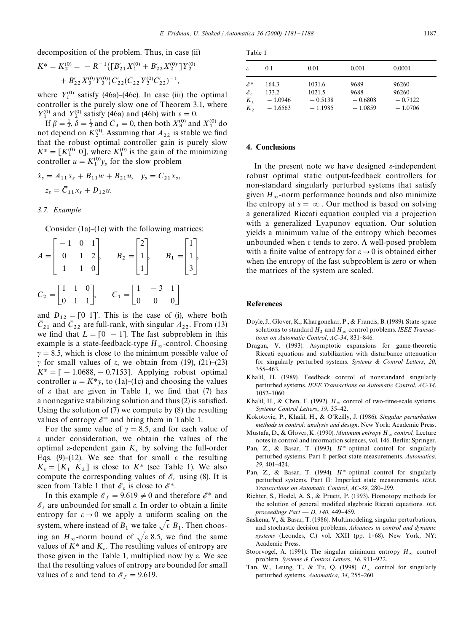decomposition of the problem. Thus, in case (ii)

$$
K^* = K_2^{(0)} = -R^{-1}\{[B'_{21}X_1^{(0)} + B'_{22}X_2^{(0)}]Y_2^{(0)} + B'_{22}X_3^{(0)}Y_3^{(0)}\}\bar{C}'_{22}(\bar{C}_{22}Y_3^{(0)}\bar{C}'_{22})^{-1},
$$

where  $Y_i^{(0)}$  satisfy (46a)–(46c). In case (iii) the optimal controller is the purely slow one of Theorem 3.1, where  $Y_1^{(0)}$  and  $Y_2^{(0)}$  satisfy (46a) and (46b) with  $\varepsilon = 0$ .

If  $\beta = \frac{1}{2}, \delta = \frac{1}{2}$  and  $\overline{C}_3 = 0$ , then both  $X_3^{(0)}$  and  $X_1^{(0)}$  do  $\ln p = \frac{1}{2}$ ,  $o = \frac{1}{2}$  and  $C_3 = 0$ , then both  $A_3$ <sup>3</sup> and  $A_1$ <sup>3</sup> do not depend on  $K_2^{(0)}$ . Assuming that  $A_{22}$  is stable we find that the robust optimal controller gain is purely slow  $K^* = [K_1^{(0)} \; 0]$ , where  $K_1^{(0)}$  is the gain of the minimizing controller  $u = K_1^{(0)} y_s$  for the slow problem

$$
\dot{x}_s = A_{11}x_s + B_{11}w + B_{21}u, \quad y_s = \bar{C}_{21}x_s,
$$
  

$$
z_s = \bar{C}_{11}x_s + D_{12}u.
$$

#### *3.7. Example*

Consider  $(1a)$ – $(1c)$  with the following matrices:

$$
A = \begin{bmatrix} -1 & 0 & 1 \\ 0 & 1 & 2 \\ 1 & 1 & 0 \end{bmatrix}, \qquad B_2 = \begin{bmatrix} 2 \\ 1 \\ 1 \end{bmatrix}, \qquad B_1 = \begin{bmatrix} 1 \\ 1 \\ 3 \end{bmatrix}
$$

$$
C_2 = \begin{bmatrix} 1 & 1 & 0 \\ 0 & 1 & 1 \end{bmatrix}, \qquad C_1 = \begin{bmatrix} 1 & -3 & 1 \\ 0 & 0 & 0 \end{bmatrix}
$$

and  $D_{12} = [0 \ 1]'$ . This is the case of (i), where both  $\bar{C}_{21}$  and  $\bar{C}_{22}$  are full-rank, with singular  $A_{22}$ . From (13) we find that  $L = [0 -1]$ . The fast subproblem in this example is a state-feedback-type  $H_{\infty}$ -control. Choosing  $\gamma = 8.5$ , which is close to the minimum possible value of  $\gamma$  for small values of  $\varepsilon$ , we obtain from (19), (21)–(23)  $K^* = [-1.0688, -0.7153]$ . Applying robust optimal controller  $u = K^*y$ , to (1a)–(1c) and choosing the values of  $\varepsilon$  that are given in Table 1, we find that (7) has a nonnegative stabilizing solution and thus (2) is satisfied. Using the solution of (7) we compute by (8) the resulting values of entropy  $\mathscr{E}^*$  and bring them in Table 1.

For the same value of  $\gamma = 8.5$ , and for each value of  $\varepsilon$  under consideration, we obtain the values of the optimal  $\varepsilon$ -dependent gain  $K_{\varepsilon}$  by solving the full-order Eqs. (9)–(12). We see that for small  $\varepsilon$  the resulting  $K_e = [K_1 \ K_2]$  is close to  $K^*$  (see Table 1). We also compute the corresponding values of  $\mathscr{E}_{\varepsilon}$  using (8). It is seen from Table 1 that  $\mathscr{E}_{\varepsilon}$  is close to  $\mathscr{E}^*$ .

In this example  $\mathcal{E}_f = 9.619 \neq 0$  and therefore  $\mathcal{E}^*$  and  $\mathscr{E}_\varepsilon$  are unbounded for small  $\varepsilon$ . In order to obtain a finite entropy for  $\varepsilon \to 0$  we apply a uniform scaling on the system, where instead of  $B_1$  we take  $\sqrt{\varepsilon} B_1$ . Then choosing an  $H_{\infty}$ -norm bound of  $\sqrt{\varepsilon}$  8.5, we find the same values of  $K^*$  and  $K_e$ . The resulting values of entropy are those given in the Table 1, multiplied now by  $\varepsilon$ . We see that the resulting values of entropy are bounded for small values of  $\varepsilon$  and tend to  $\mathscr{E}_f = 9.619$ .

| ε                                                    | 0.1                                      | 0.01                                       | 0.001                                  | 0.0001                                   |  |
|------------------------------------------------------|------------------------------------------|--------------------------------------------|----------------------------------------|------------------------------------------|--|
| $\mathscr{E}^*$<br>${\mathscr E}_s$<br>$K_{1}$<br>Κ, | 164.3<br>133.2<br>$-1.0946$<br>$-1.6563$ | 1031.6<br>1021.5<br>$-0.5138$<br>$-1.1985$ | 9689<br>9688<br>$-0.6808$<br>$-1.0859$ | 96260<br>96260<br>$-0.7122$<br>$-1.0706$ |  |
|                                                      |                                          |                                            |                                        |                                          |  |

## 4. Conclusions

In the present note we have designed  $\varepsilon$ -independent robust optimal static output-feedback controllers for non-standard singularly perturbed systems that satisfy given  $H_{\infty}$ -norm performance bounds and also minimize the entropy at  $s = \infty$ . Our method is based on solving a generalized Riccati equation coupled via a projection with a generalized Lyapunov equation. Our solution yields a minimum value of the entropy which becomes unbounded when  $\varepsilon$  tends to zero. A well-posed problem with a finite value of entropy for  $\varepsilon \to 0$  is obtained either when the entropy of the fast subproblem is zero or when the matrices of the system are scaled.

#### References

- Doyle, J., Glover, K., Khargonekar, P., & Francis, B. (1989). State-space solutions to standard  $H_2$  and  $H_{\infty}$  control problems. *IEEE Transactions on Automatic Control, AC-34, 831-846.*
- Dragan, V. (1993). Asymptotic expansions for game-theoretic Riccati equations and stabilization with disturbance attenuation for singularly perturbed systems. *Systems & Control Letters*, *20*, 355-463.
- Khalil, H. (1989). Feedback control of nonstandard singularly perturbed systems. *IEEE Transactions on Automatic Control*, *AC-34*, 1052-1060.
- Khalil, H., & Chen, F. (1992).  $H_{\infty}$  control of two-time-scale systems. *Systems Control Letters*, 19, 35-42.
- Kokotovic, P., Khalil, H., & O'Reilly, J. (1986). *Singular perturbation methods in control: analysis and design*. New York: Academic Press.
- Mustafa, D., & Glover, K. (1990). *Minimum entropy <sup>H</sup>*<sup>=</sup> *control,* Lecture notes in control and information sciences, vol. 146. Berlin: Springer.
- Pan, Z., & Basar, T. (1993). *H*<sup>®</sup>-optimal control for singularly perturbed systems. Part I: perfect state measurements. *Automatica*, 29, 401-424.
- Pan, Z., & Basar, T. (1994). *H*<sup>o</sup>-optimal control for singularly perturbed systems. Part II: Imperfect state measurements. *IEEE Transactions on Automatic Control, AC-39, 280-299.*
- Richter, S., Hodel, A. S., & Pruett, P. (1993). Homotopy methods for the solution of general modified algebraic Riccati equations. *IEE proceedings Part* - *D*, 140, 449-459.
- Saskena, V., & Basar, T. (1986). Multimodeling, singular perturbations, and stochastic decision problems. *Advances in control and dynamic systems* (Leondes, C.) vol. XXII (pp. 1-68). New York, NY: Academic Press.
- Stoorvogel, A. (1991). The singular minimum entropy  $H_{\infty}$  control problem. *Systems* & *Control Letters*, 16, 911-922.
- Tan, W., Leung, T., & Tu, Q. (1998).  $H_{\infty}$  control for singularly perturbed systems. *Automatica*, 34, 255-260.

| ×<br>٠<br>۰.<br>× |
|-------------------|
|-------------------|